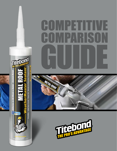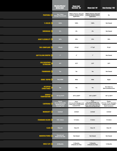|                                         | <b>WeatherMaster</b><br><b>METAL ROOF</b>                                       | <b>Chem Link<sup>"</sup><br/>DuraLink" 50'</b><br><b>Chem Link" M1'</b>                                                                                                                                                                                                    |                                                                         | Dow Corning® 795 <sup>+</sup>                                                                |
|-----------------------------------------|---------------------------------------------------------------------------------|----------------------------------------------------------------------------------------------------------------------------------------------------------------------------------------------------------------------------------------------------------------------------|-------------------------------------------------------------------------|----------------------------------------------------------------------------------------------|
| <b>PAINTABLE</b>                        | Yes, 1 Hour<br>(Except Translucent)                                             | Within 24 hours. Test and<br>evaluate all paints before<br>application.                                                                                                                                                                                                    | Within 24 hours. Test and<br>evaluate all paints before<br>application. | No                                                                                           |
| % SOLIDS                                | 100%                                                                            | 100%                                                                                                                                                                                                                                                                       | 100%                                                                    | <b>Not Stated</b>                                                                            |
| <b>SHRINKAGE</b>                        | 0%                                                                              | 0%                                                                                                                                                                                                                                                                         | $0\%$                                                                   | <b>Not Stated</b>                                                                            |
| <b>JOINT FLEXIBILITY</b>                | 50%                                                                             | 50%                                                                                                                                                                                                                                                                        | 35%                                                                     | 50%                                                                                          |
| <b>VOC-COMPLIANT</b>                    | $<$ 50 g/L                                                                      | $<$ 22 g/L                                                                                                                                                                                                                                                                 | $<$ 17 g/L                                                              | 32 g/L                                                                                       |
| <b>GAP FILLING (WIDTH)</b>              | $1''$                                                                           | 2 <sup>n</sup>                                                                                                                                                                                                                                                             | 1 <sup>n</sup>                                                          | <b>Not Stated</b>                                                                            |
| <b>COLD WEATHER</b><br><b>EXTRUSION</b> | 0°F                                                                             | $32^{\circ}F$                                                                                                                                                                                                                                                              | $32^{\circ}F$                                                           | $50^{\circ}$ F                                                                               |
| <b>FOAMBOARD</b>                        | <b>Yes</b>                                                                      | Yes                                                                                                                                                                                                                                                                        | Yes                                                                     | <b>Not Stated</b>                                                                            |
| <b>ODOR/VAPOR</b>                       | <b>Very Mild</b>                                                                | Mild                                                                                                                                                                                                                                                                       | Mild                                                                    | Slight                                                                                       |
| <b>OCCUPIED</b><br><b>STRUCTURES</b>    | Yes                                                                             | Yes                                                                                                                                                                                                                                                                        | Yes                                                                     | Yes; Only in a<br><b>Well-ventilated Area</b>                                                |
| <b>SERVICE</b><br><b>TEMPERATURE</b>    | -75 $^{\circ}$ to 212 $^{\circ}$ F                                              | -40° to 200°F                                                                                                                                                                                                                                                              | -40° to 200°F                                                           | -40° to 300°F                                                                                |
| <b>CARTRIDGE</b>                        | <b>Plastic</b><br>(9.5 oz. Removable<br>Nozzle) & 20 oz.<br><b>Sausage Pack</b> | <b>Plastic</b><br>Plastic<br>(10.1 oz. Fixed Nozzle), 5 oz.<br>(10.1 oz.), 20 oz. Sausages, 2 and<br>Squeeze Tube, 20 oz. Sausages,<br>5 Gallon Pails or 50 Gallon Drums<br>28 oz., 2 and 5 Gallon Pails or 50<br>by Special Order<br><b>Gallon Drums by Special Order</b> |                                                                         | Plastic<br>(10.3 oz.), 20 oz. Sausages,<br>2 Gallon and 4.5 Gallon<br><b>Bulk Containers</b> |
| <b>WARRANTY</b>                         | <b>Limited</b>                                                                  | Limited                                                                                                                                                                                                                                                                    | Limited                                                                 | Limited                                                                                      |
| <b>STANDARD COLORS</b>                  | 100+ Colors                                                                     | 12 Colors                                                                                                                                                                                                                                                                  | 5 Colors                                                                | 15 Colors                                                                                    |
| <b>CLASS</b>                            | <b>Class 50</b>                                                                 | Class 50                                                                                                                                                                                                                                                                   | Class 35                                                                | Class 50                                                                                     |
| <b>MANUFACTURED</b>                     | <b>Owned and</b><br><b>Made in the USA</b>                                      | <b>Not Stated</b>                                                                                                                                                                                                                                                          | <b>Not Stated</b>                                                       | <b>Not Stated</b>                                                                            |
| <b>SHELF LIFE</b>                       | 24 Months                                                                       | 12 Months,<br><b>6 Months for Pails</b>                                                                                                                                                                                                                                    | 12 Months,<br><b>6 Months for Pails</b>                                 | 12 Months                                                                                    |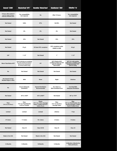| Geocel <sup>®</sup> 2300 <sup>t</sup>                                                    | <b>MasterSeal<sup>®</sup> NP1<sup>™+</sup></b>                                                                                   | <b>Novaflex® Metal Roof®</b>                                                                    | RainBuster® 900 <sup>t</sup>                                                             | <b>Sikaflex<sup>®</sup> 1a</b> <sup>t</sup>                                                         |
|------------------------------------------------------------------------------------------|----------------------------------------------------------------------------------------------------------------------------------|-------------------------------------------------------------------------------------------------|------------------------------------------------------------------------------------------|-----------------------------------------------------------------------------------------------------|
| 24 hours. Allow sealant to<br>cure for 4 days if using a<br>relatively inflexible paint. | Yes, compatibility<br>test required.                                                                                             | No                                                                                              | After 72 hours.                                                                          | Yes, compatibility<br>test required.                                                                |
| <b>Not Stated</b>                                                                        | 100%                                                                                                                             | 97%                                                                                             | 96-99%                                                                                   | <b>Not Stated</b>                                                                                   |
| <b>Not Stated</b>                                                                        | 0%                                                                                                                               | 0%                                                                                              | 0%                                                                                       | <b>Not Stated</b>                                                                                   |
| <b>Not Stated</b>                                                                        | 35%                                                                                                                              | <b>Not Stated</b>                                                                               | 35%                                                                                      | 35%                                                                                                 |
| <b>Not Stated</b>                                                                        | 35 g/L                                                                                                                           | 50 State VOC-compliant                                                                          | VOC-compliant under<br><b>AQMD &amp; CARB</b>                                            | 40 g/L                                                                                              |
| 3/8''                                                                                    | 11/2"                                                                                                                            | <b>Not Stated</b>                                                                               | 1 <sup>''</sup>                                                                          | 11/2"                                                                                               |
| Warm Tube Below 40°F                                                                     | Only if substrates are completely<br>dry, clean and free of moisture.<br>Store at room temperature<br>for 24 hours before using. | 0°F                                                                                             | 20°F. If below 40°F,<br>condition product at 70°F<br>prior to using for<br>best results. | 40°F. For cold weather<br>application, condition units<br>at approximately 70°F;<br>prior to using. |
| No                                                                                       | <b>Not Stated</b>                                                                                                                | <b>Not Stated</b>                                                                               | <b>Not Stated</b>                                                                        | <b>Not Stated</b>                                                                                   |
| Not Stated; Do Not<br><b>Breathe Vapor or Mist</b>                                       | Mild                                                                                                                             | None                                                                                            | Slight                                                                                   | <b>Odorless</b>                                                                                     |
| <b>No</b>                                                                                | <b>Ensure Adequate</b><br>Ventilation                                                                                            | <b>General Ventilation</b><br>Recommended                                                       | Yes, Only in a<br><b>Well-ventilated Area</b>                                            | Use Only With<br><b>Adequate Ventilation</b>                                                        |
| <b>Not Stated</b>                                                                        | -40° to 180°F                                                                                                                    | -40° to 400°F                                                                                   | <b>Not Stated</b>                                                                        | -40° to 170°F                                                                                       |
| Fiber<br>(10.3 oz. & 29 oz.)                                                             | <b>Fiber</b><br>(10.1 oz. Fixed Nozzle)<br>& 20 oz. ProPaks                                                                      | <b>Plastic</b><br>(10.1 oz.), 20 oz. Sausage<br>Packs, 5 Gallon Pail & 55<br><b>Gallon Drum</b> | Fiber<br>(10.1 oz.) & 20 oz.<br><b>Sausage Tubes</b>                                     | Fiber<br>(10.1 oz. Fixed Nozzle), 20 oz.<br>Uni-Pac Sausages, 5 Gallon<br>Pail & 55 Gallon Drum     |
| Limited                                                                                  | Limited                                                                                                                          | Limited                                                                                         | Lifetime                                                                                 | 1 Year                                                                                              |
| 47 Colors                                                                                | 11 Colors                                                                                                                        | 70+ Colors                                                                                      | 6 Colors                                                                                 | 9 Colors                                                                                            |
| <b>Not Stated</b>                                                                        | Class 35                                                                                                                         | <b>Class 35/50</b>                                                                              | Class 35                                                                                 | Class 35                                                                                            |
| Made in the USA                                                                          | <b>Not Stated</b>                                                                                                                | Made in the USA                                                                                 | <b>Not Stated</b>                                                                        | <b>Not Stated</b>                                                                                   |
| 12 Months                                                                                | 12 Months                                                                                                                        | 18 Months                                                                                       | 12 Months                                                                                | 12 Months, 6 Months for<br><b>Pails and Drums</b>                                                   |